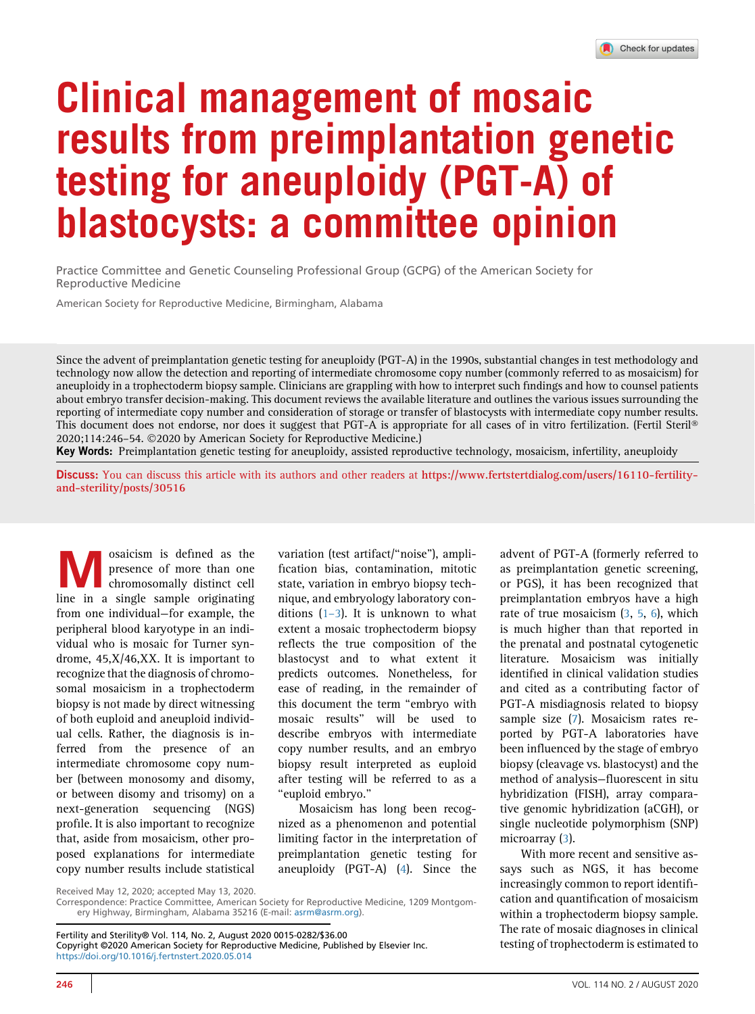## Clinical management of mosaic results from preimplantation genetic testing for aneuploidy (PGT-A) of blastocysts: a committee opinion

Practice Committee and Genetic Counseling Professional Group (GCPG) of the American Society for Reproductive Medicine

American Society for Reproductive Medicine, Birmingham, Alabama

Since the advent of preimplantation genetic testing for aneuploidy (PGT-A) in the 1990s, substantial changes in test methodology and technology now allow the detection and reporting of intermediate chromosome copy number (commonly referred to as mosaicism) for aneuploidy in a trophectoderm biopsy sample. Clinicians are grappling with how to interpret such findings and how to counsel patients about embryo transfer decision-making. This document reviews the available literature and outlines the various issues surrounding the reporting of intermediate copy number and consideration of storage or transfer of blastocysts with intermediate copy number results. This document does not endorse, nor does it suggest that PGT-A is appropriate for all cases of in vitro fertilization. (Fertil Steril 2020;114:246–54. 2020 by American Society for Reproductive Medicine.)

Key Words: Preimplantation genetic testing for aneuploidy, assisted reproductive technology, mosaicism, infertility, aneuploidy

Discuss: You can discuss this article with its authors and other readers at [https://www.fertstertdialog.com/users/16110-fertility](https://www.fertstertdialog.com/users/16110-fertility-and-sterility/posts/30516)[and-sterility/posts/30516](https://www.fertstertdialog.com/users/16110-fertility-and-sterility/posts/30516)

saicism is defined as the presence of more than one<br>chromosomally distinct cell<br>line in a single sample originating presence of more than one chromosomally distinct cell line in a single sample originating from one individual—for example, the peripheral blood karyotype in an individual who is mosaic for Turner syndrome, 45,X/46,XX. It is important to recognize that the diagnosis of chromosomal mosaicism in a trophectoderm biopsy is not made by direct witnessing of both euploid and aneuploid individual cells. Rather, the diagnosis is inferred from the presence of an intermediate chromosome copy number (between monosomy and disomy, or between disomy and trisomy) on a next-generation sequencing (NGS) profile. It is also important to recognize that, aside from mosaicism, other proposed explanations for intermediate copy number results include statistical

variation (test artifact/''noise''), amplification bias, contamination, mitotic state, variation in embryo biopsy technique, and embryology laboratory conditions  $(1-3)$  $(1-3)$  $(1-3)$ . It is unknown to what extent a mosaic trophectoderm biopsy reflects the true composition of the blastocyst and to what extent it predicts outcomes. Nonetheless, for ease of reading, in the remainder of this document the term ''embryo with mosaic results'' will be used to describe embryos with intermediate copy number results, and an embryo biopsy result interpreted as euploid after testing will be referred to as a ''euploid embryo.''

Mosaicism has long been recognized as a phenomenon and potential limiting factor in the interpretation of preimplantation genetic testing for aneuploidy (PGT-A) [\(4](#page-8-1)). Since the advent of PGT-A (formerly referred to as preimplantation genetic screening, or PGS), it has been recognized that preimplantation embryos have a high rate of true mosaicism [\(3,](#page-8-2) [5](#page-8-3), [6\)](#page-8-4), which is much higher than that reported in the prenatal and postnatal cytogenetic literature. Mosaicism was initially identified in clinical validation studies and cited as a contributing factor of PGT-A misdiagnosis related to biopsy sample size [\(7](#page-8-5)). Mosaicism rates reported by PGT-A laboratories have been influenced by the stage of embryo biopsy (cleavage vs. blastocyst) and the method of analysis—fluorescent in situ hybridization (FISH), array comparative genomic hybridization (aCGH), or single nucleotide polymorphism (SNP) microarray ([3](#page-8-2)).

With more recent and sensitive assays such as NGS, it has become increasingly common to report identification and quantification of mosaicism within a trophectoderm biopsy sample. The rate of mosaic diagnoses in clinical testing of trophectoderm is estimated to

Fertility and Sterility® Vol. 114, No. 2, August 2020 0015-0282/\$36.00 Copyright ©2020 American Society for Reproductive Medicine, Published by Elsevier Inc. <https://doi.org/10.1016/j.fertnstert.2020.05.014>

Received May 12, 2020; accepted May 13, 2020.

Correspondence: Practice Committee, American Society for Reproductive Medicine, 1209 Montgomery Highway, Birmingham, Alabama 35216 (E-mail: [asrm@asrm.org](mailto:asrm@asrm.org)).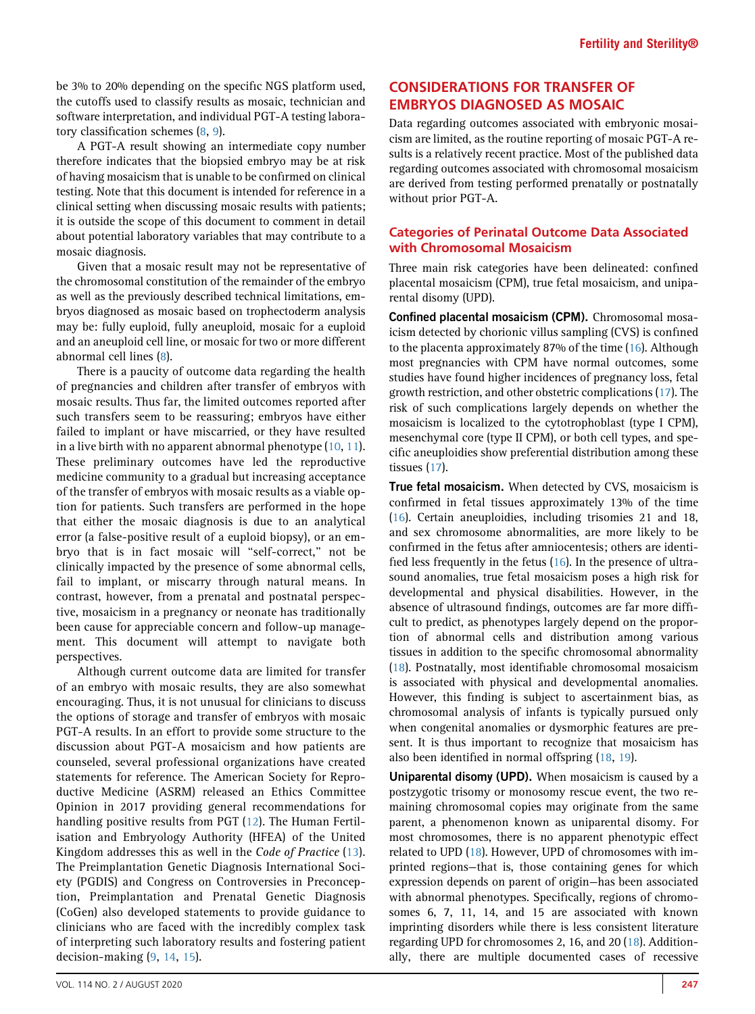be 3% to 20% depending on the specific NGS platform used, the cutoffs used to classify results as mosaic, technician and software interpretation, and individual PGT-A testing laboratory classification schemes ([8](#page-8-6), [9](#page-8-7)).

A PGT-A result showing an intermediate copy number therefore indicates that the biopsied embryo may be at risk of having mosaicism that is unable to be confirmed on clinical testing. Note that this document is intended for reference in a clinical setting when discussing mosaic results with patients; it is outside the scope of this document to comment in detail about potential laboratory variables that may contribute to a mosaic diagnosis.

Given that a mosaic result may not be representative of the chromosomal constitution of the remainder of the embryo as well as the previously described technical limitations, embryos diagnosed as mosaic based on trophectoderm analysis may be: fully euploid, fully aneuploid, mosaic for a euploid and an aneuploid cell line, or mosaic for two or more different abnormal cell lines [\(8](#page-8-6)).

There is a paucity of outcome data regarding the health of pregnancies and children after transfer of embryos with mosaic results. Thus far, the limited outcomes reported after such transfers seem to be reassuring; embryos have either failed to implant or have miscarried, or they have resulted in a live birth with no apparent abnormal phenotype [\(10](#page-8-8), [11](#page-8-9)). These preliminary outcomes have led the reproductive medicine community to a gradual but increasing acceptance of the transfer of embryos with mosaic results as a viable option for patients. Such transfers are performed in the hope that either the mosaic diagnosis is due to an analytical error (a false-positive result of a euploid biopsy), or an embryo that is in fact mosaic will ''self-correct,'' not be clinically impacted by the presence of some abnormal cells, fail to implant, or miscarry through natural means. In contrast, however, from a prenatal and postnatal perspective, mosaicism in a pregnancy or neonate has traditionally been cause for appreciable concern and follow-up management. This document will attempt to navigate both perspectives.

Although current outcome data are limited for transfer of an embryo with mosaic results, they are also somewhat encouraging. Thus, it is not unusual for clinicians to discuss the options of storage and transfer of embryos with mosaic PGT-A results. In an effort to provide some structure to the discussion about PGT-A mosaicism and how patients are counseled, several professional organizations have created statements for reference. The American Society for Reproductive Medicine (ASRM) released an Ethics Committee Opinion in 2017 providing general recommendations for handling positive results from PGT ([12\)](#page-8-10). The Human Fertilisation and Embryology Authority (HFEA) of the United Kingdom addresses this as well in the Code of Practice [\(13](#page-8-11)). The Preimplantation Genetic Diagnosis International Society (PGDIS) and Congress on Controversies in Preconception, Preimplantation and Prenatal Genetic Diagnosis (CoGen) also developed statements to provide guidance to clinicians who are faced with the incredibly complex task of interpreting such laboratory results and fostering patient decision-making ([9,](#page-8-7) [14](#page-8-12), [15](#page-8-13)).

# rental disomy (UPD).

Confined placental mosaicism (CPM). Chromosomal mosaicism detected by chorionic villus sampling (CVS) is confined to the placenta approximately 87% of the time ([16\)](#page-8-14). Although most pregnancies with CPM have normal outcomes, some studies have found higher incidences of pregnancy loss, fetal growth restriction, and other obstetric complications ([17](#page-8-15)). The risk of such complications largely depends on whether the mosaicism is localized to the cytotrophoblast (type I CPM), mesenchymal core (type II CPM), or both cell types, and specific aneuploidies show preferential distribution among these tissues ([17](#page-8-15)).

CONSIDERATIONS FOR TRANSFER OF EMBRYOS DIAGNOSED AS MOSAIC

without prior PGT-A.

with Chromosomal Mosaicism

Data regarding outcomes associated with embryonic mosaicism are limited, as the routine reporting of mosaic PGT-A results is a relatively recent practice. Most of the published data regarding outcomes associated with chromosomal mosaicism are derived from testing performed prenatally or postnatally

Categories of Perinatal Outcome Data Associated

Three main risk categories have been delineated: confined placental mosaicism (CPM), true fetal mosaicism, and unipa-

**True fetal mosaicism.** When detected by CVS, mosaicism is confirmed in fetal tissues approximately 13% of the time ([16](#page-8-14)). Certain aneuploidies, including trisomies 21 and 18, and sex chromosome abnormalities, are more likely to be confirmed in the fetus after amniocentesis; others are identified less frequently in the fetus [\(16\)](#page-8-14). In the presence of ultrasound anomalies, true fetal mosaicism poses a high risk for developmental and physical disabilities. However, in the absence of ultrasound findings, outcomes are far more difficult to predict, as phenotypes largely depend on the proportion of abnormal cells and distribution among various tissues in addition to the specific chromosomal abnormality ([18](#page-8-16)). Postnatally, most identifiable chromosomal mosaicism is associated with physical and developmental anomalies. However, this finding is subject to ascertainment bias, as chromosomal analysis of infants is typically pursued only when congenital anomalies or dysmorphic features are present. It is thus important to recognize that mosaicism has also been identified in normal offspring [\(18](#page-8-16), [19\)](#page-8-17).

Uniparental disomy (UPD). When mosaicism is caused by a postzygotic trisomy or monosomy rescue event, the two remaining chromosomal copies may originate from the same parent, a phenomenon known as uniparental disomy. For most chromosomes, there is no apparent phenotypic effect related to UPD [\(18\)](#page-8-16). However, UPD of chromosomes with imprinted regions—that is, those containing genes for which expression depends on parent of origin—has been associated with abnormal phenotypes. Specifically, regions of chromosomes 6, 7, 11, 14, and 15 are associated with known imprinting disorders while there is less consistent literature regarding UPD for chromosomes 2, 16, and 20 ([18](#page-8-16)). Additionally, there are multiple documented cases of recessive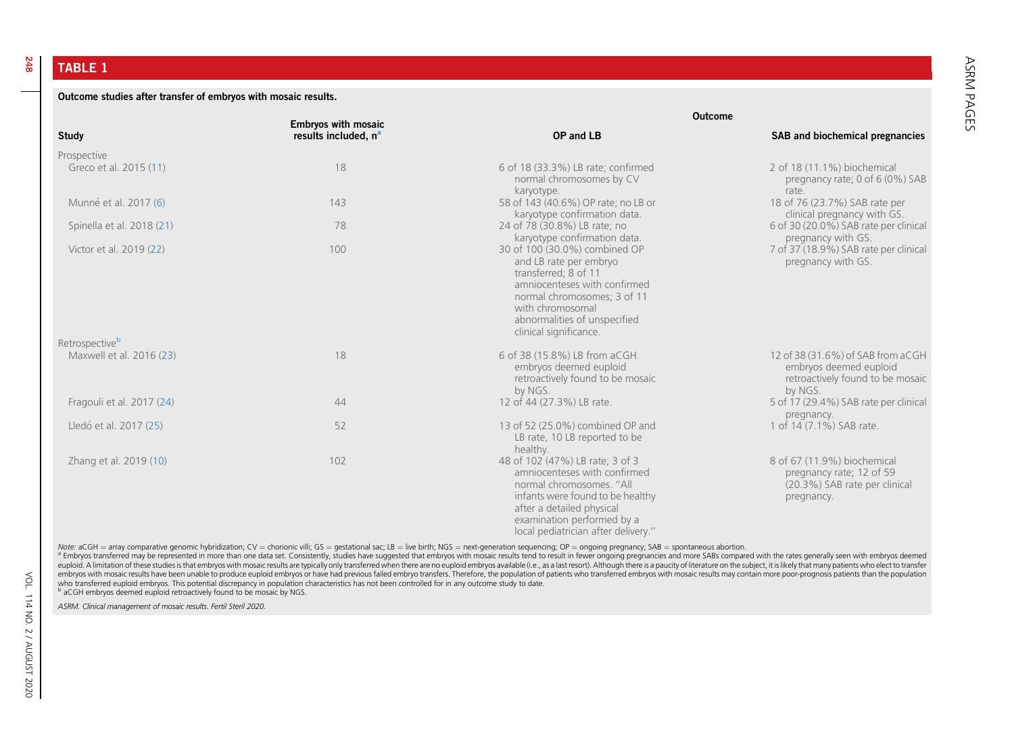TABLE 1

248

<span id="page-2-0"></span>Outcome studies after transfer of embryos with mosaic results.

| <b>Study</b>                          | <b>Embryos with mosaic</b><br>results included, n <sup>a</sup> | <b>Outcome</b>                                                                                                                                                                                                                    |                                                                                                            |
|---------------------------------------|----------------------------------------------------------------|-----------------------------------------------------------------------------------------------------------------------------------------------------------------------------------------------------------------------------------|------------------------------------------------------------------------------------------------------------|
|                                       |                                                                | OP and LB                                                                                                                                                                                                                         | SAB and biochemical pregnancies                                                                            |
| Prospective<br>Greco et al. 2015 (11) | 18                                                             | 6 of 18 (33.3%) LB rate; confirmed<br>normal chromosomes by CV                                                                                                                                                                    | 2 of 18 (11.1%) biochemical<br>pregnancy rate; 0 of 6 (0%) SAB                                             |
| Munné et al. 2017 (6)                 | 143                                                            | karyotype.<br>58 of 143 (40.6%) OP rate; no LB or<br>karyotype confirmation data.                                                                                                                                                 | rate.<br>18 of 76 (23.7%) SAB rate per<br>clinical pregnancy with GS.                                      |
| Spinella et al. 2018 (21)             | 78                                                             | 24 of 78 (30.8%) LB rate; no<br>karyotype confirmation data.                                                                                                                                                                      | 6 of 30 (20.0%) SAB rate per clinical<br>pregnancy with GS.                                                |
| Victor et al. 2019 (22)               | 100                                                            | 30 of 100 (30.0%) combined OP<br>and LB rate per embryo<br>transferred; 8 of 11<br>amniocenteses with confirmed<br>normal chromosomes; 3 of 11<br>with chromosomal<br>abnormalities of unspecified<br>clinical significance.      | 7 of 37 (18.9%) SAB rate per clinical<br>pregnancy with GS.                                                |
| Retrospective <sup>b</sup>            |                                                                |                                                                                                                                                                                                                                   |                                                                                                            |
| Maxwell et al. 2016 (23)              | 18                                                             | 6 of 38 (15.8%) LB from aCGH<br>embryos deemed euploid<br>retroactively found to be mosaic<br>by NGS.                                                                                                                             | 12 of 38 (31.6%) of SAB from aCGH<br>embryos deemed euploid<br>retroactively found to be mosaic<br>by NGS. |
| Fragouli et al. 2017 (24)             | 44                                                             | 12 of 44 (27.3%) LB rate.                                                                                                                                                                                                         | 5 of 17 (29.4%) SAB rate per clinical                                                                      |
| Lledó et al. 2017 (25)                | 52                                                             | 13 of 52 (25.0%) combined OP and<br>LB rate, 10 LB reported to be<br>healthy.                                                                                                                                                     | pregnancy.<br>1 of 14 (7.1%) SAB rate.                                                                     |
| Zhang et al. 2019 (10)                | 102                                                            | 48 of 102 (47%) LB rate; 3 of 3<br>amniocenteses with confirmed<br>normal chromosomes. "All<br>infants were found to be healthy<br>after a detailed physical<br>examination performed by a<br>local pediatrician after delivery." | 8 of 67 (11.9%) biochemical<br>pregnancy rate; 12 of 59<br>(20.3%) SAB rate per clinical<br>pregnancy.     |

Note: aCGH = array comparative genomic hybridization; CV = chorionic villi; GS = gestational sac; LB = live birth; NGS = next-generation sequencing; OP = ongoing pregnancy; SAB = spontaneous abortion.

a Embryos transferred may be represented in more than one data set. Consistently, studies have suggested that embryos with mosaic results tend to result in fewer ongoing pregnancies and more SABs compared with the rates ge embryos with mosaic results have been unable to produce euploid embryos or have had previous failed embryo transfers. Therefore, the population of patients who transferred embryos with mosaic results may contain more poorwho transferred euploid embryos. This potential discrepancy in population characteristics has not been controlled for in any outcome study to date.

<sup>b</sup> aCGH embryos deemed euploid retroactively found to be mosaic by NGS.

ASRM. Clinical management of mosaic results. Fertil Steril 2020.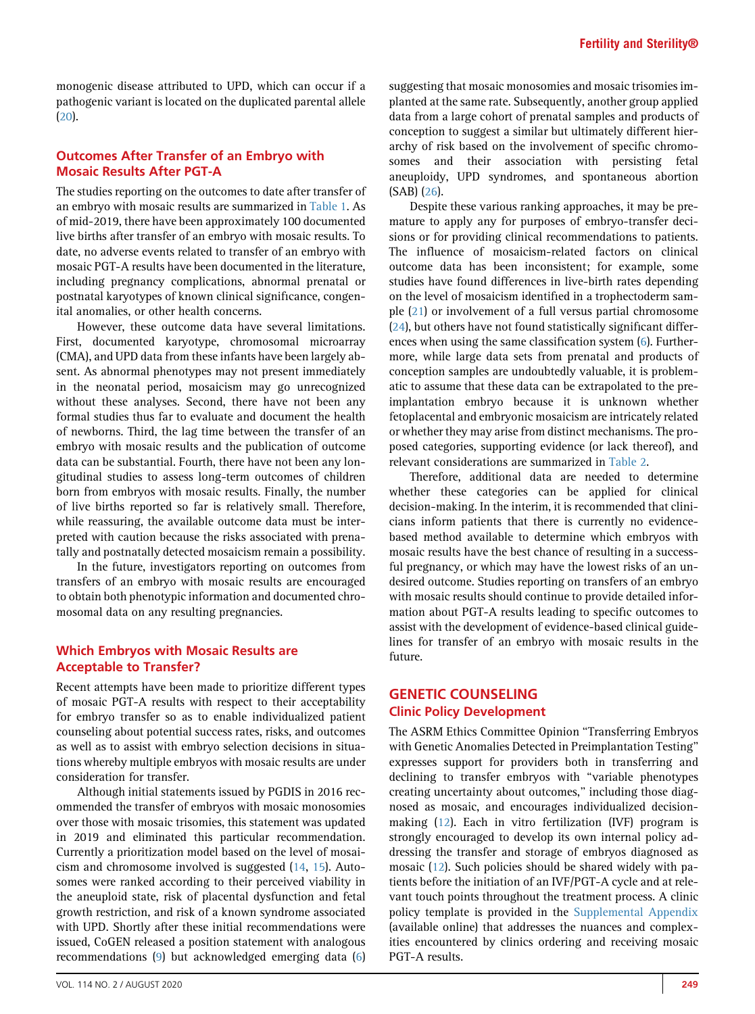monogenic disease attributed to UPD, which can occur if a pathogenic variant is located on the duplicated parental allele [\(20](#page-8-26)).

## Outcomes After Transfer of an Embryo with Mosaic Results After PGT-A

The studies reporting on the outcomes to date after transfer of an embryo with mosaic results are summarized in [Table 1](#page-2-0). As of mid-2019, there have been approximately 100 documented live births after transfer of an embryo with mosaic results. To date, no adverse events related to transfer of an embryo with mosaic PGT-A results have been documented in the literature, including pregnancy complications, abnormal prenatal or postnatal karyotypes of known clinical significance, congenital anomalies, or other health concerns.

However, these outcome data have several limitations. First, documented karyotype, chromosomal microarray (CMA), and UPD data from these infants have been largely absent. As abnormal phenotypes may not present immediately in the neonatal period, mosaicism may go unrecognized without these analyses. Second, there have not been any formal studies thus far to evaluate and document the health of newborns. Third, the lag time between the transfer of an embryo with mosaic results and the publication of outcome data can be substantial. Fourth, there have not been any longitudinal studies to assess long-term outcomes of children born from embryos with mosaic results. Finally, the number of live births reported so far is relatively small. Therefore, while reassuring, the available outcome data must be interpreted with caution because the risks associated with prenatally and postnatally detected mosaicism remain a possibility.

In the future, investigators reporting on outcomes from transfers of an embryo with mosaic results are encouraged to obtain both phenotypic information and documented chromosomal data on any resulting pregnancies.

## Which Embryos with Mosaic Results are Acceptable to Transfer?

Recent attempts have been made to prioritize different types of mosaic PGT-A results with respect to their acceptability for embryo transfer so as to enable individualized patient counseling about potential success rates, risks, and outcomes as well as to assist with embryo selection decisions in situations whereby multiple embryos with mosaic results are under consideration for transfer.

Although initial statements issued by PGDIS in 2016 recommended the transfer of embryos with mosaic monosomies over those with mosaic trisomies, this statement was updated in 2019 and eliminated this particular recommendation. Currently a prioritization model based on the level of mosaicism and chromosome involved is suggested ([14](#page-8-12), [15](#page-8-13)). Autosomes were ranked according to their perceived viability in the aneuploid state, risk of placental dysfunction and fetal growth restriction, and risk of a known syndrome associated with UPD. Shortly after these initial recommendations were issued, CoGEN released a position statement with analogous recommendations ([9\)](#page-8-7) but acknowledged emerging data ([6](#page-8-4))

suggesting that mosaic monosomies and mosaic trisomies implanted at the same rate. Subsequently, another group applied data from a large cohort of prenatal samples and products of conception to suggest a similar but ultimately different hierarchy of risk based on the involvement of specific chromosomes and their association with persisting fetal aneuploidy, UPD syndromes, and spontaneous abortion (SAB) [\(26\)](#page-8-27).

Despite these various ranking approaches, it may be premature to apply any for purposes of embryo-transfer decisions or for providing clinical recommendations to patients. The influence of mosaicism-related factors on clinical outcome data has been inconsistent; for example, some studies have found differences in live-birth rates depending on the level of mosaicism identified in a trophectoderm sample [\(21\)](#page-8-28) or involvement of a full versus partial chromosome ([24](#page-8-29)), but others have not found statistically significant differences when using the same classification system ([6\)](#page-8-4). Furthermore, while large data sets from prenatal and products of conception samples are undoubtedly valuable, it is problematic to assume that these data can be extrapolated to the preimplantation embryo because it is unknown whether fetoplacental and embryonic mosaicism are intricately related or whether they may arise from distinct mechanisms. The proposed categories, supporting evidence (or lack thereof), and relevant considerations are summarized in [Table 2](#page-4-0).

Therefore, additional data are needed to determine whether these categories can be applied for clinical decision-making. In the interim, it is recommended that clinicians inform patients that there is currently no evidencebased method available to determine which embryos with mosaic results have the best chance of resulting in a successful pregnancy, or which may have the lowest risks of an undesired outcome. Studies reporting on transfers of an embryo with mosaic results should continue to provide detailed information about PGT-A results leading to specific outcomes to assist with the development of evidence-based clinical guidelines for transfer of an embryo with mosaic results in the future.

## GENETIC COUNSELING Clinic Policy Development

The ASRM Ethics Committee Opinion ''Transferring Embryos with Genetic Anomalies Detected in Preimplantation Testing'' expresses support for providers both in transferring and declining to transfer embryos with ''variable phenotypes creating uncertainty about outcomes," including those diagnosed as mosaic, and encourages individualized decisionmaking [\(12\)](#page-8-10). Each in vitro fertilization (IVF) program is strongly encouraged to develop its own internal policy addressing the transfer and storage of embryos diagnosed as mosaic ([12](#page-8-10)). Such policies should be shared widely with patients before the initiation of an IVF/PGT-A cycle and at relevant touch points throughout the treatment process. A clinic policy template is provided in the [Supplemental Appendix](#page-8-30) (available online) that addresses the nuances and complexities encountered by clinics ordering and receiving mosaic PGT-A results.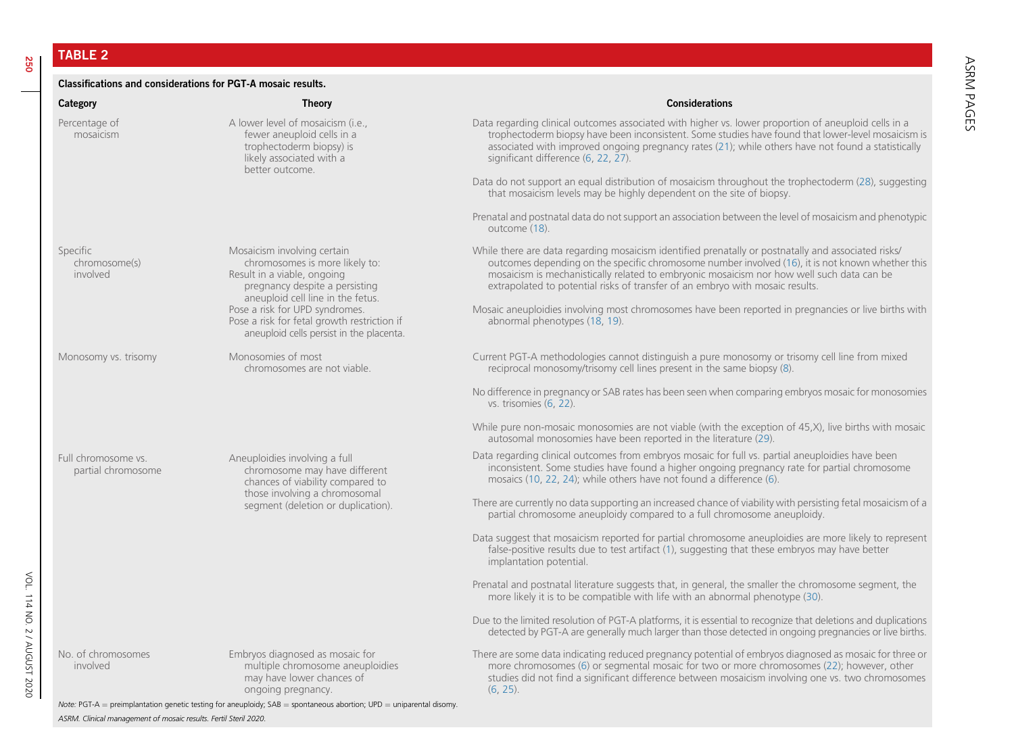TABLE 2

#### <span id="page-4-0"></span>Classifications and considerations for PGT-A mosaic results.

| Category                                  | <b>Theory</b>                                                                                                                                                       | <b>Considerations</b>                                                                                                                                                                                                                                                                                                                                                                 |
|-------------------------------------------|---------------------------------------------------------------------------------------------------------------------------------------------------------------------|---------------------------------------------------------------------------------------------------------------------------------------------------------------------------------------------------------------------------------------------------------------------------------------------------------------------------------------------------------------------------------------|
| Percentage of<br>mosaicism                | A lower level of mosaicism (i.e.,<br>fewer aneuploid cells in a<br>trophectoderm biopsy) is<br>likely associated with a<br>better outcome.                          | Data regarding clinical outcomes associated with higher vs. lower proportion of aneuploid cells in a<br>trophectoderm biopsy have been inconsistent. Some studies have found that lower-level mosaicism is<br>associated with improved ongoing pregnancy rates (21); while others have not found a statistically<br>significant difference (6, 22, 27).                               |
|                                           |                                                                                                                                                                     | Data do not support an equal distribution of mosaicism throughout the trophectoderm (28), suggesting<br>that mosaicism levels may be highly dependent on the site of biopsy.                                                                                                                                                                                                          |
|                                           |                                                                                                                                                                     | Prenatal and postnatal data do not support an association between the level of mosaicism and phenotypic<br>outcome (18).                                                                                                                                                                                                                                                              |
| Specific<br>chromosome(s)<br>involved     | Mosaicism involving certain<br>chromosomes is more likely to:<br>Result in a viable, ongoing<br>pregnancy despite a persisting<br>aneuploid cell line in the fetus. | While there are data regarding mosaicism identified prenatally or postnatally and associated risks/<br>outcomes depending on the specific chromosome number involved (16), it is not known whether this<br>mosaicism is mechanistically related to embryonic mosaicism nor how well such data can be<br>extrapolated to potential risks of transfer of an embryo with mosaic results. |
|                                           | Pose a risk for UPD syndromes.<br>Pose a risk for fetal growth restriction if<br>aneuploid cells persist in the placenta.                                           | Mosaic aneuploidies involving most chromosomes have been reported in pregnancies or live births with<br>abnormal phenotypes (18, 19).                                                                                                                                                                                                                                                 |
| Monosomy vs. trisomy                      | Monosomies of most<br>chromosomes are not viable.                                                                                                                   | Current PGT-A methodologies cannot distinguish a pure monosomy or trisomy cell line from mixed<br>reciprocal monosomy/trisomy cell lines present in the same biopsy (8).                                                                                                                                                                                                              |
|                                           |                                                                                                                                                                     | No difference in pregnancy or SAB rates has been seen when comparing embryos mosaic for monosomies<br>vs. trisomies (6, 22).                                                                                                                                                                                                                                                          |
|                                           |                                                                                                                                                                     | While pure non-mosaic monosomies are not viable (with the exception of 45,X), live births with mosaic<br>autosomal monosomies have been reported in the literature (29).                                                                                                                                                                                                              |
| Full chromosome vs.<br>partial chromosome | Aneuploidies involving a full<br>chromosome may have different<br>chances of viability compared to                                                                  | Data regarding clinical outcomes from embryos mosaic for full vs. partial aneuploidies have been<br>inconsistent. Some studies have found a higher ongoing pregnancy rate for partial chromosome<br>mosaics (10, 22, 24); while others have not found a difference (6).                                                                                                               |
|                                           | those involving a chromosomal<br>segment (deletion or duplication).                                                                                                 | There are currently no data supporting an increased chance of viability with persisting fetal mosaicism of a<br>partial chromosome aneuploidy compared to a full chromosome aneuploidy.                                                                                                                                                                                               |
|                                           |                                                                                                                                                                     | Data suggest that mosaicism reported for partial chromosome aneuploidies are more likely to represent<br>false-positive results due to test artifact (1), suggesting that these embryos may have better<br>implantation potential.                                                                                                                                                    |
|                                           |                                                                                                                                                                     | Prenatal and postnatal literature suggests that, in general, the smaller the chromosome segment, the<br>more likely it is to be compatible with life with an abnormal phenotype (30).                                                                                                                                                                                                 |
|                                           |                                                                                                                                                                     | Due to the limited resolution of PGT-A platforms, it is essential to recognize that deletions and duplications                                                                                                                                                                                                                                                                        |

VOL. 114 NO. 2 / AUGUST 2020 No. of chromosomes

VOL. 114 NO. 2 / AUGUST 2020

involved

Embryos diagnosed as mosaic for multiple chromosome aneuploidies may have lower chances of ongoing pregnancy.

There are some data indicating reduced pregnancy potential of embryos diagnosed as mosaic for three or more chromosomes ([6](#page-8-19)) or segmental mosaic for two or more chromosomes ([22\)](#page-8-21); however, other studies did not find <sup>a</sup> significant difference between mosaicism involving one vs. two chromosomes ([6](#page-8-19), [25](#page-8-24)).

detected by PGT-A are generally much larger than those detected in ongoing pregnancies or live births.

Note: PGT-A  $=$  preimplantation genetic testing for aneuploidy; SAB  $=$  spontaneous abortion; UPD  $=$  uniparental disomy. ASRM. Clinical management of mosaic results. Fertil Steril 2020.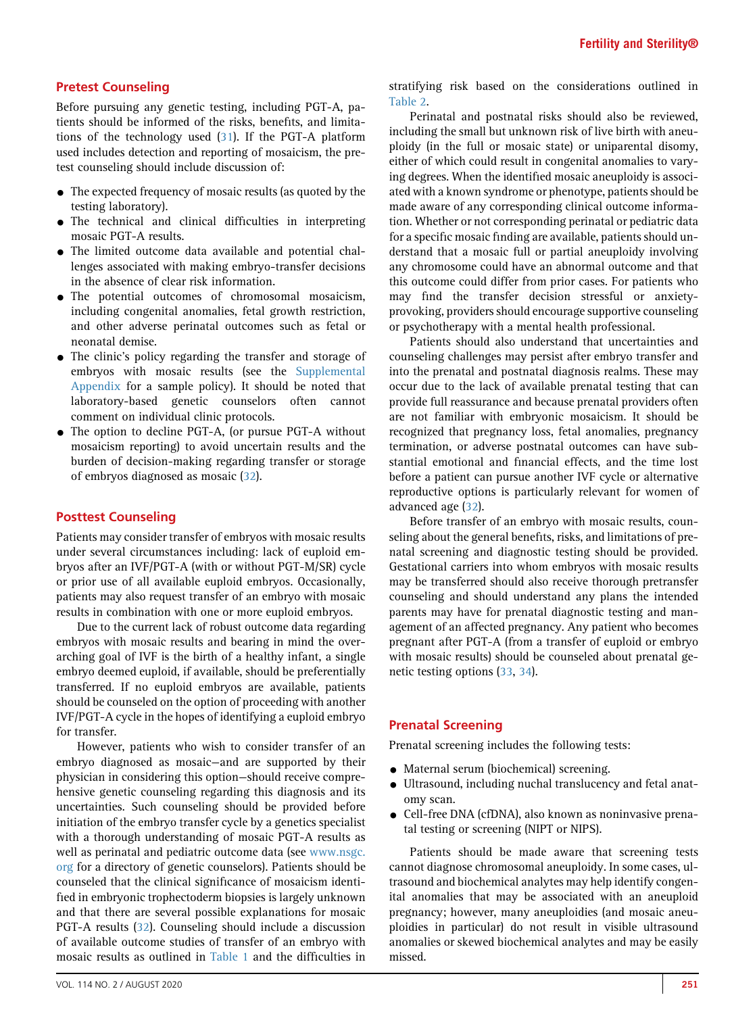## Pretest Counseling

Before pursuing any genetic testing, including PGT-A, patients should be informed of the risks, benefits, and limitations of the technology used [\(31\)](#page-8-40). If the PGT-A platform used includes detection and reporting of mosaicism, the pretest counseling should include discussion of:

- $\bullet$  The expected frequency of mosaic results (as quoted by the testing laboratory).
- The technical and clinical difficulties in interpreting mosaic PGT-A results.
- The limited outcome data available and potential challenges associated with making embryo-transfer decisions in the absence of clear risk information.
- The potential outcomes of chromosomal mosaicism, including congenital anomalies, fetal growth restriction, and other adverse perinatal outcomes such as fetal or neonatal demise.
- $\bullet$  The clinic's policy regarding the transfer and storage of embryos with mosaic results (see the [Supplemental](#page-8-30) [Appendix](#page-8-30) for a sample policy). It should be noted that laboratory-based genetic counselors often cannot comment on individual clinic protocols.
- The option to decline PGT-A, (or pursue PGT-A without mosaicism reporting) to avoid uncertain results and the burden of decision-making regarding transfer or storage of embryos diagnosed as mosaic ([32](#page-8-41)).

#### Posttest Counseling

Patients may consider transfer of embryos with mosaic results under several circumstances including: lack of euploid embryos after an IVF/PGT-A (with or without PGT-M/SR) cycle or prior use of all available euploid embryos. Occasionally, patients may also request transfer of an embryo with mosaic results in combination with one or more euploid embryos.

Due to the current lack of robust outcome data regarding embryos with mosaic results and bearing in mind the overarching goal of IVF is the birth of a healthy infant, a single embryo deemed euploid, if available, should be preferentially transferred. If no euploid embryos are available, patients should be counseled on the option of proceeding with another IVF/PGT-A cycle in the hopes of identifying a euploid embryo for transfer.

However, patients who wish to consider transfer of an embryo diagnosed as mosaic—and are supported by their physician in considering this option—should receive comprehensive genetic counseling regarding this diagnosis and its uncertainties. Such counseling should be provided before initiation of the embryo transfer cycle by a genetics specialist with a thorough understanding of mosaic PGT-A results as well as perinatal and pediatric outcome data (see [www.nsgc.](http://www.nsgc.org) [org](http://www.nsgc.org) for a directory of genetic counselors). Patients should be counseled that the clinical significance of mosaicism identified in embryonic trophectoderm biopsies is largely unknown and that there are several possible explanations for mosaic PGT-A results [\(32](#page-8-41)). Counseling should include a discussion of available outcome studies of transfer of an embryo with mosaic results as outlined in [Table 1](#page-2-0) and the difficulties in

stratifying risk based on the considerations outlined in [Table 2](#page-4-0).

Perinatal and postnatal risks should also be reviewed, including the small but unknown risk of live birth with aneuploidy (in the full or mosaic state) or uniparental disomy, either of which could result in congenital anomalies to varying degrees. When the identified mosaic aneuploidy is associated with a known syndrome or phenotype, patients should be made aware of any corresponding clinical outcome information. Whether or not corresponding perinatal or pediatric data for a specific mosaic finding are available, patients should understand that a mosaic full or partial aneuploidy involving any chromosome could have an abnormal outcome and that this outcome could differ from prior cases. For patients who may find the transfer decision stressful or anxietyprovoking, providers should encourage supportive counseling or psychotherapy with a mental health professional.

Patients should also understand that uncertainties and counseling challenges may persist after embryo transfer and into the prenatal and postnatal diagnosis realms. These may occur due to the lack of available prenatal testing that can provide full reassurance and because prenatal providers often are not familiar with embryonic mosaicism. It should be recognized that pregnancy loss, fetal anomalies, pregnancy termination, or adverse postnatal outcomes can have substantial emotional and financial effects, and the time lost before a patient can pursue another IVF cycle or alternative reproductive options is particularly relevant for women of advanced age [\(32](#page-8-41)).

Before transfer of an embryo with mosaic results, counseling about the general benefits, risks, and limitations of prenatal screening and diagnostic testing should be provided. Gestational carriers into whom embryos with mosaic results may be transferred should also receive thorough pretransfer counseling and should understand any plans the intended parents may have for prenatal diagnostic testing and management of an affected pregnancy. Any patient who becomes pregnant after PGT-A (from a transfer of euploid or embryo with mosaic results) should be counseled about prenatal genetic testing options ([33](#page-8-42), [34\)](#page-8-43).

#### Prenatal Screening

Prenatal screening includes the following tests:

- Maternal serum (biochemical) screening.
- $\bullet$  Ultrasound, including nuchal translucency and fetal anatomy scan.
- Cell-free DNA (cfDNA), also known as noninvasive prenatal testing or screening (NIPT or NIPS).

Patients should be made aware that screening tests cannot diagnose chromosomal aneuploidy. In some cases, ultrasound and biochemical analytes may help identify congenital anomalies that may be associated with an aneuploid pregnancy; however, many aneuploidies (and mosaic aneuploidies in particular) do not result in visible ultrasound anomalies or skewed biochemical analytes and may be easily missed.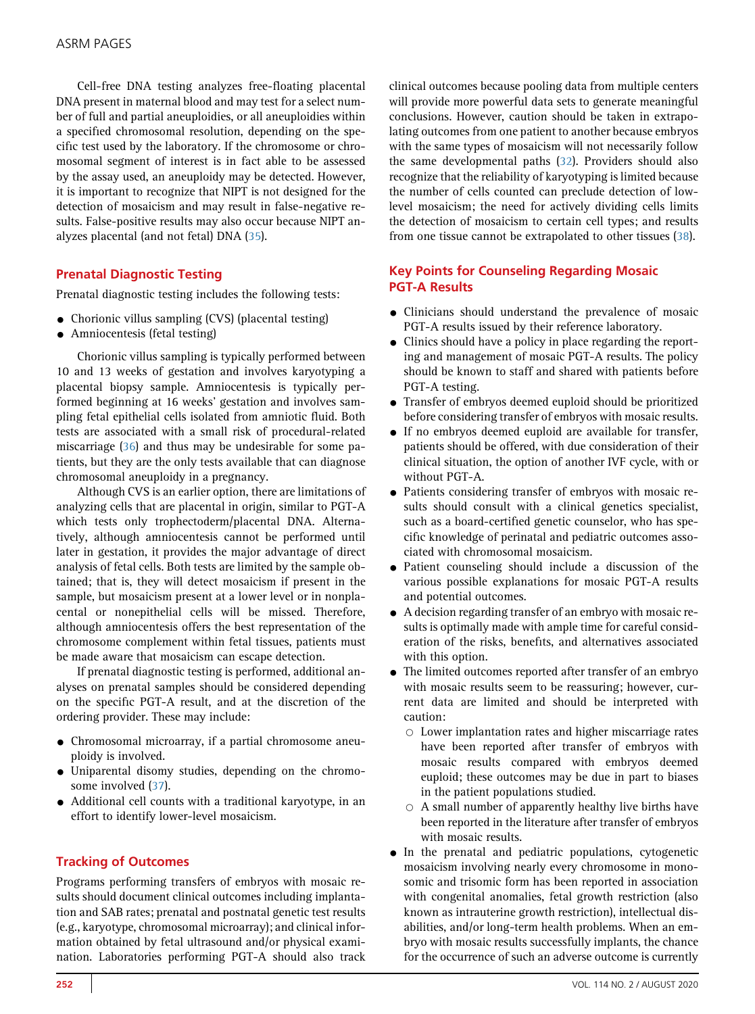Cell-free DNA testing analyzes free-floating placental DNA present in maternal blood and may test for a select number of full and partial aneuploidies, or all aneuploidies within a specified chromosomal resolution, depending on the specific test used by the laboratory. If the chromosome or chromosomal segment of interest is in fact able to be assessed by the assay used, an aneuploidy may be detected. However, it is important to recognize that NIPT is not designed for the detection of mosaicism and may result in false-negative results. False-positive results may also occur because NIPT analyzes placental (and not fetal) DNA ([35](#page-8-44)).

## Prenatal Diagnostic Testing

Prenatal diagnostic testing includes the following tests:

- Chorionic villus sampling (CVS) (placental testing)
- $\bullet$  Amniocentesis (fetal testing)

Chorionic villus sampling is typically performed between 10 and 13 weeks of gestation and involves karyotyping a placental biopsy sample. Amniocentesis is typically performed beginning at 16 weeks' gestation and involves sampling fetal epithelial cells isolated from amniotic fluid. Both tests are associated with a small risk of procedural-related miscarriage ([36](#page-8-45)) and thus may be undesirable for some patients, but they are the only tests available that can diagnose chromosomal aneuploidy in a pregnancy.

Although CVS is an earlier option, there are limitations of analyzing cells that are placental in origin, similar to PGT-A which tests only trophectoderm/placental DNA. Alternatively, although amniocentesis cannot be performed until later in gestation, it provides the major advantage of direct analysis of fetal cells. Both tests are limited by the sample obtained; that is, they will detect mosaicism if present in the sample, but mosaicism present at a lower level or in nonplacental or nonepithelial cells will be missed. Therefore, although amniocentesis offers the best representation of the chromosome complement within fetal tissues, patients must be made aware that mosaicism can escape detection.

If prenatal diagnostic testing is performed, additional analyses on prenatal samples should be considered depending on the specific PGT-A result, and at the discretion of the ordering provider. These may include:

- Chromosomal microarray, if a partial chromosome aneuploidy is involved.
- Uniparental disomy studies, depending on the chromo-some involved ([37\)](#page-8-46).
- Additional cell counts with a traditional karyotype, in an effort to identify lower-level mosaicism.

## Tracking of Outcomes

Programs performing transfers of embryos with mosaic results should document clinical outcomes including implantation and SAB rates; prenatal and postnatal genetic test results (e.g., karyotype, chromosomal microarray); and clinical information obtained by fetal ultrasound and/or physical examination. Laboratories performing PGT-A should also track

clinical outcomes because pooling data from multiple centers will provide more powerful data sets to generate meaningful conclusions. However, caution should be taken in extrapolating outcomes from one patient to another because embryos with the same types of mosaicism will not necessarily follow the same developmental paths [\(32\)](#page-8-41). Providers should also recognize that the reliability of karyotyping is limited because the number of cells counted can preclude detection of lowlevel mosaicism; the need for actively dividing cells limits the detection of mosaicism to certain cell types; and results from one tissue cannot be extrapolated to other tissues ([38](#page-8-47)).

## Key Points for Counseling Regarding Mosaic PGT-A Results

- Clinicians should understand the prevalence of mosaic PGT-A results issued by their reference laboratory.
- Clinics should have a policy in place regarding the reporting and management of mosaic PGT-A results. The policy should be known to staff and shared with patients before PGT-A testing.
- Transfer of embryos deemed euploid should be prioritized before considering transfer of embryos with mosaic results.
- If no embryos deemed euploid are available for transfer, patients should be offered, with due consideration of their clinical situation, the option of another IVF cycle, with or without PGT-A.
- Patients considering transfer of embryos with mosaic results should consult with a clinical genetics specialist, such as a board-certified genetic counselor, who has specific knowledge of perinatal and pediatric outcomes associated with chromosomal mosaicism.
- Patient counseling should include a discussion of the various possible explanations for mosaic PGT-A results and potential outcomes.
- $\bullet$  A decision regarding transfer of an embryo with mosaic results is optimally made with ample time for careful consideration of the risks, benefits, and alternatives associated with this option.
- The limited outcomes reported after transfer of an embryo with mosaic results seem to be reassuring; however, current data are limited and should be interpreted with caution:
	- $\circ$  Lower implantation rates and higher miscarriage rates have been reported after transfer of embryos with mosaic results compared with embryos deemed euploid; these outcomes may be due in part to biases in the patient populations studied.
	- $\circ$  A small number of apparently healthy live births have been reported in the literature after transfer of embryos with mosaic results.
- $\bullet$  In the prenatal and pediatric populations, cytogenetic mosaicism involving nearly every chromosome in monosomic and trisomic form has been reported in association with congenital anomalies, fetal growth restriction (also known as intrauterine growth restriction), intellectual disabilities, and/or long-term health problems. When an embryo with mosaic results successfully implants, the chance for the occurrence of such an adverse outcome is currently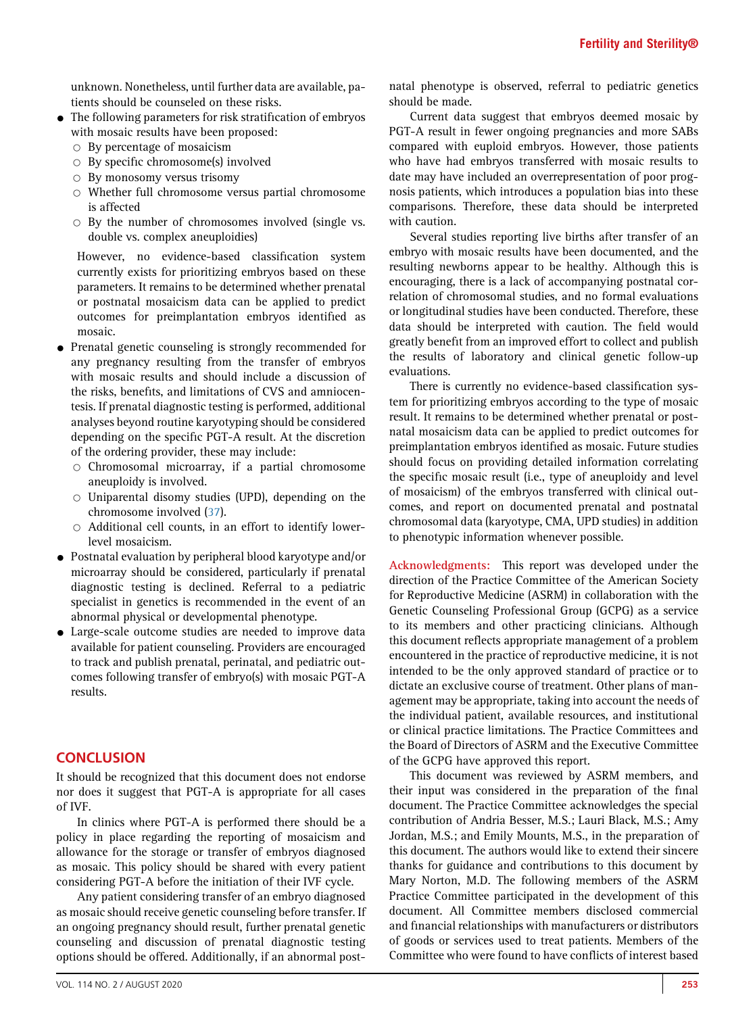unknown. Nonetheless, until further data are available, patients should be counseled on these risks.

- $\bullet$  The following parameters for risk stratification of embryos with mosaic results have been proposed:
	- $\circ$  By percentage of mosaicism
	- $\circ$  By specific chromosome(s) involved
	- $\circ$  By monosomy versus trisomy
	- $\circ$  Whether full chromosome versus partial chromosome is affected
	- $\circ$  By the number of chromosomes involved (single vs. double vs. complex aneuploidies)

However, no evidence-based classification system currently exists for prioritizing embryos based on these parameters. It remains to be determined whether prenatal or postnatal mosaicism data can be applied to predict outcomes for preimplantation embryos identified as mosaic.

- Prenatal genetic counseling is strongly recommended for any pregnancy resulting from the transfer of embryos with mosaic results and should include a discussion of the risks, benefits, and limitations of CVS and amniocentesis. If prenatal diagnostic testing is performed, additional analyses beyond routine karyotyping should be considered depending on the specific PGT-A result. At the discretion of the ordering provider, these may include:
	- $\circ$  Chromosomal microarray, if a partial chromosome aneuploidy is involved.
	- $\circ$  Uniparental disomy studies (UPD), depending on the chromosome involved ([37](#page-8-46)).
	- $\circ$  Additional cell counts, in an effort to identify lowerlevel mosaicism.
- $\bullet$  Postnatal evaluation by peripheral blood karyotype and/or microarray should be considered, particularly if prenatal diagnostic testing is declined. Referral to a pediatric specialist in genetics is recommended in the event of an abnormal physical or developmental phenotype.
- Large-scale outcome studies are needed to improve data available for patient counseling. Providers are encouraged to track and publish prenatal, perinatal, and pediatric outcomes following transfer of embryo(s) with mosaic PGT-A results.

## **CONCLUSION**

It should be recognized that this document does not endorse nor does it suggest that PGT-A is appropriate for all cases of IVF.

In clinics where PGT-A is performed there should be a policy in place regarding the reporting of mosaicism and allowance for the storage or transfer of embryos diagnosed as mosaic. This policy should be shared with every patient considering PGT-A before the initiation of their IVF cycle.

Any patient considering transfer of an embryo diagnosed as mosaic should receive genetic counseling before transfer. If an ongoing pregnancy should result, further prenatal genetic counseling and discussion of prenatal diagnostic testing options should be offered. Additionally, if an abnormal postnatal phenotype is observed, referral to pediatric genetics should be made.

Current data suggest that embryos deemed mosaic by PGT-A result in fewer ongoing pregnancies and more SABs compared with euploid embryos. However, those patients who have had embryos transferred with mosaic results to date may have included an overrepresentation of poor prognosis patients, which introduces a population bias into these comparisons. Therefore, these data should be interpreted with caution.

Several studies reporting live births after transfer of an embryo with mosaic results have been documented, and the resulting newborns appear to be healthy. Although this is encouraging, there is a lack of accompanying postnatal correlation of chromosomal studies, and no formal evaluations or longitudinal studies have been conducted. Therefore, these data should be interpreted with caution. The field would greatly benefit from an improved effort to collect and publish the results of laboratory and clinical genetic follow-up evaluations.

There is currently no evidence-based classification system for prioritizing embryos according to the type of mosaic result. It remains to be determined whether prenatal or postnatal mosaicism data can be applied to predict outcomes for preimplantation embryos identified as mosaic. Future studies should focus on providing detailed information correlating the specific mosaic result (i.e., type of aneuploidy and level of mosaicism) of the embryos transferred with clinical outcomes, and report on documented prenatal and postnatal chromosomal data (karyotype, CMA, UPD studies) in addition to phenotypic information whenever possible.

Acknowledgments: This report was developed under the direction of the Practice Committee of the American Society for Reproductive Medicine (ASRM) in collaboration with the Genetic Counseling Professional Group (GCPG) as a service to its members and other practicing clinicians. Although this document reflects appropriate management of a problem encountered in the practice of reproductive medicine, it is not intended to be the only approved standard of practice or to dictate an exclusive course of treatment. Other plans of management may be appropriate, taking into account the needs of the individual patient, available resources, and institutional or clinical practice limitations. The Practice Committees and the Board of Directors of ASRM and the Executive Committee of the GCPG have approved this report.

This document was reviewed by ASRM members, and their input was considered in the preparation of the final document. The Practice Committee acknowledges the special contribution of Andria Besser, M.S.; Lauri Black, M.S.; Amy Jordan, M.S.; and Emily Mounts, M.S., in the preparation of this document. The authors would like to extend their sincere thanks for guidance and contributions to this document by Mary Norton, M.D. The following members of the ASRM Practice Committee participated in the development of this document. All Committee members disclosed commercial and financial relationships with manufacturers or distributors of goods or services used to treat patients. Members of the Committee who were found to have conflicts of interest based